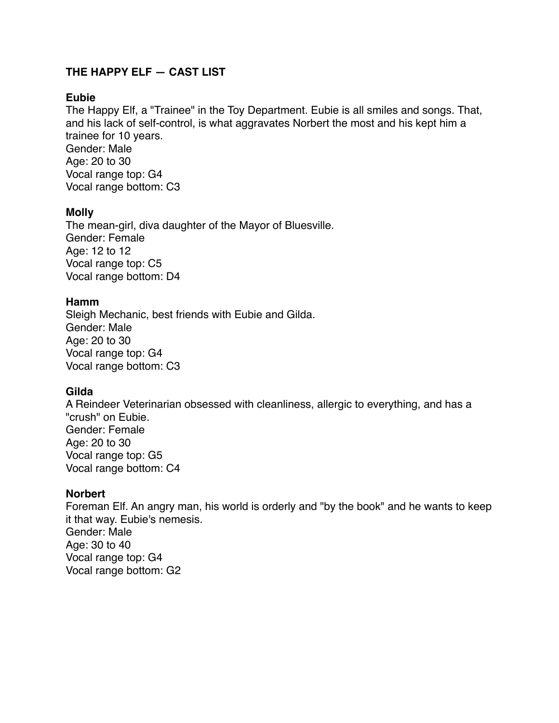# **THE HAPPY ELF — CAST LIST**

### **Eubie**

The Happy Elf, a "Trainee" in the Toy Department. Eubie is all smiles and songs. That, and his lack of self-control, is what aggravates Norbert the most and his kept him a trainee for 10 years. Gender: Male Age: 20 to 30 Vocal range top: G4 Vocal range bottom: C3

# **Molly**

The mean-girl, diva daughter of the Mayor of Bluesville. Gender: Female Age: 12 to 12 Vocal range top: C5 Vocal range bottom: D4

### **Hamm**

Sleigh Mechanic, best friends with Eubie and Gilda. Gender: Male Age: 20 to 30 Vocal range top: G4 Vocal range bottom: C3

# **Gilda**

A Reindeer Veterinarian obsessed with cleanliness, allergic to everything, and has a "crush" on Eubie. Gender: Female Age: 20 to 30 Vocal range top: G5 Vocal range bottom: C4

### **Norbert**

Foreman Elf. An angry man, his world is orderly and "by the book" and he wants to keep it that way. Eubie's nemesis. Gender: Male Age: 30 to 40 Vocal range top: G4 Vocal range bottom: G2